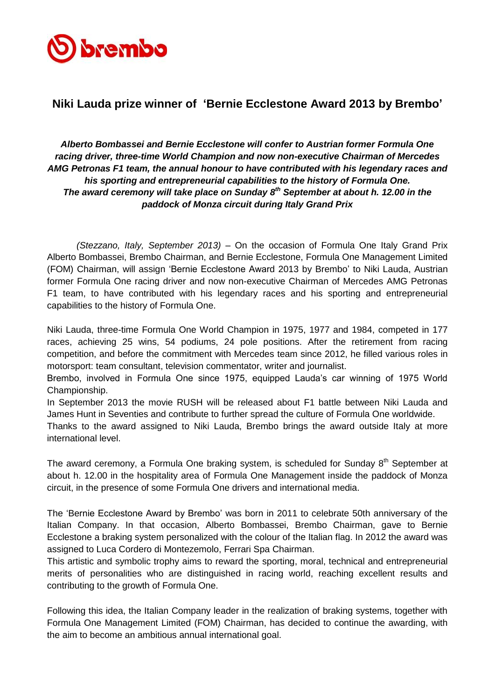

## **Niki Lauda prize winner of 'Bernie Ecclestone Award 2013 by Brembo'**

## *Alberto Bombassei and Bernie Ecclestone will confer to Austrian former Formula One racing driver, three-time World Champion and now non-executive Chairman of Mercedes AMG Petronas F1 team, the annual honour to have contributed with his legendary races and his sporting and entrepreneurial capabilities to the history of Formula One. The award ceremony will take place on Sunday 8 th September at about h. 12.00 in the paddock of Monza circuit during Italy Grand Prix*

*(Stezzano, Italy, September 2013)* – On the occasion of Formula One Italy Grand Prix Alberto Bombassei, Brembo Chairman, and Bernie Ecclestone, Formula One Management Limited (FOM) Chairman, will assign 'Bernie Ecclestone Award 2013 by Brembo' to Niki Lauda, Austrian former Formula One racing driver and now non-executive Chairman of Mercedes AMG Petronas F1 team, to have contributed with his legendary races and his sporting and entrepreneurial capabilities to the history of Formula One.

Niki Lauda, three-time Formula One World Champion in 1975, 1977 and 1984, competed in 177 races, achieving 25 wins, 54 podiums, 24 pole positions. After the retirement from racing competition, and before the commitment with Mercedes team since 2012, he filled various roles in motorsport: team consultant, television commentator, writer and journalist.

Brembo, involved in Formula One since 1975, equipped Lauda's car winning of 1975 World Championship.

In September 2013 the movie RUSH will be released about F1 battle between Niki Lauda and James Hunt in Seventies and contribute to further spread the culture of Formula One worldwide.

Thanks to the award assigned to Niki Lauda, Brembo brings the award outside Italy at more international level.

The award ceremony, a Formula One braking system, is scheduled for Sundav 8<sup>th</sup> September at about h. 12.00 in the hospitality area of Formula One Management inside the paddock of Monza circuit, in the presence of some Formula One drivers and international media.

The 'Bernie Ecclestone Award by Brembo' was born in 2011 to celebrate 50th anniversary of the Italian Company. In that occasion, Alberto Bombassei, Brembo Chairman, gave to Bernie Ecclestone a braking system personalized with the colour of the Italian flag. In 2012 the award was assigned to Luca Cordero di Montezemolo, Ferrari Spa Chairman.

This artistic and symbolic trophy aims to reward the sporting, moral, technical and entrepreneurial merits of personalities who are distinguished in racing world, reaching excellent results and contributing to the growth of Formula One.

Following this idea, the Italian Company leader in the realization of braking systems, together with Formula One Management Limited (FOM) Chairman, has decided to continue the awarding, with the aim to become an ambitious annual international goal.